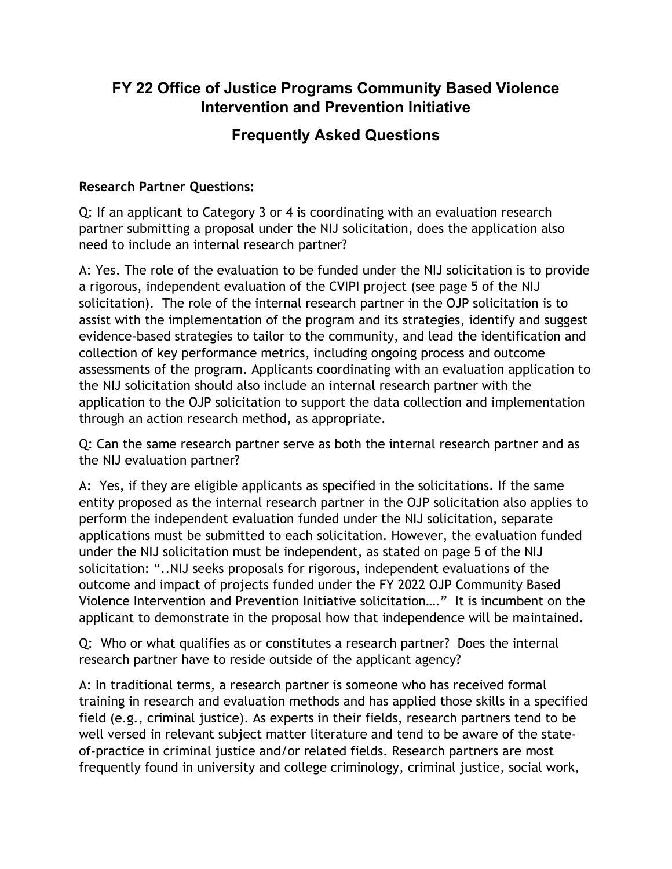## **FY 22 Office of Justice Programs Community Based Violence Intervention and Prevention Initiative**

# **Frequently Asked Questions**

#### **Research Partner Questions:**

 partner submitting a proposal under the NIJ solicitation, does the application also Q: If an applicant to Category 3 or 4 is coordinating with an evaluation research need to include an internal research partner?

 solicitation). The role of the internal research partner in the OJP solicitation is to assessments of the program. Applicants coordinating with an evaluation application to the NIJ solicitation should also include an internal research partner with the through an action research method, as appropriate. A: Yes. The role of the evaluation to be funded under the NIJ solicitation is to provide a rigorous, independent evaluation of the CVIPI project (see page 5 of the NIJ assist with the implementation of the program and its strategies, identify and suggest evidence-based strategies to tailor to the community, and lead the identification and collection of key performance metrics, including ongoing process and outcome application to the OJP solicitation to support the data collection and implementation

the NIJ evaluation partner? Q: Can the same research partner serve as both the internal research partner and as

the NIJ evaluation partner?<br>A: Yes, if they are eligible applicants as specified in the solicitations. If the same entity proposed as the internal research partner in the OJP solicitation also applies to perform the independent evaluation funded under the NIJ solicitation, separate Violence Intervention and Prevention Initiative solicitation…." It is incumbent on the applications must be submitted to each solicitation. However, the evaluation funded under the NIJ solicitation must be independent, as stated on page 5 of the NIJ solicitation: "..NIJ seeks proposals for rigorous, independent evaluations of the outcome and impact of projects funded under the FY 2022 OJP Community Based applicant to demonstrate in the proposal how that independence will be maintained.

Q: Who or what qualifies as or constitutes a research partner? Does the internal research partner have to reside outside of the applicant agency?

 A: In traditional terms, a research partner is someone who has received formal training in research and evaluation methods and has applied those skills in a specified field (e.g., criminal justice). As experts in their fields, research partners tend to be well versed in relevant subject matter literature and tend to be aware of the stateof-practice in criminal justice and/or related fields. Research partners are most frequently found in university and college criminology, criminal justice, social work,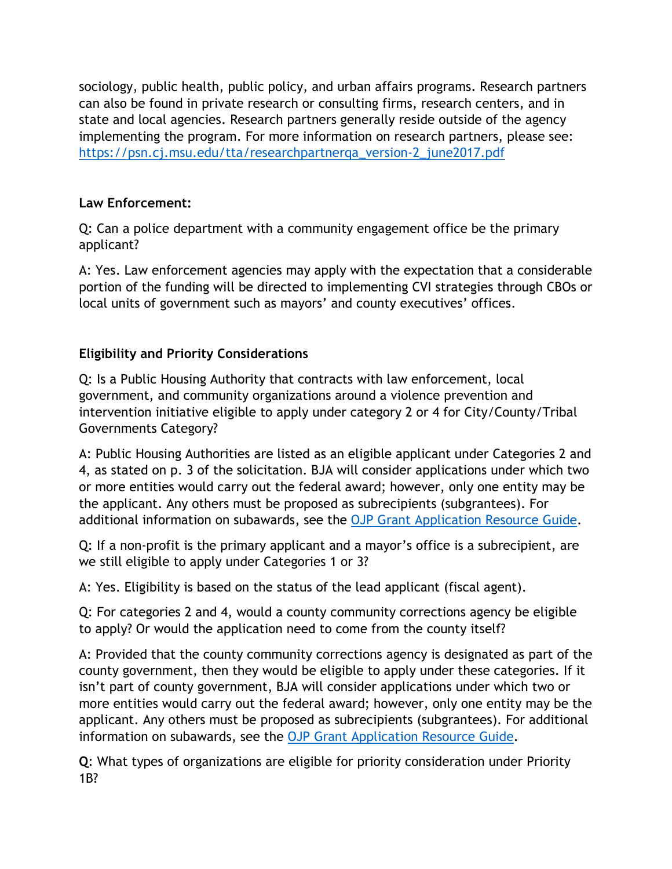implementing the program. For more information on research partners, please see:<br>https://psn.cj.msu.edu/tta/researchpartnerqa\_version-2\_june2017.pdf https://psn.cj.msu.edu/tta/researchpartnerga\_version-2\_june2017.pdf sociology, public health, public policy, and urban affairs programs. Research partners can also be found in private research or consulting firms, research centers, and in state and local agencies. Research partners generally reside outside of the agency

#### **Law Enforcement:**

Q: Can a police department with a community engagement office be the primary applicant?

A: Yes. Law enforcement agencies may apply with the expectation that a considerable portion of the funding will be directed to implementing CVI strategies through CBOs or local units of government such as mayors' and county executives' offices.

#### **Eligibility and Priority Considerations**

 government, and community organizations around a violence prevention and Q: Is a Public Housing Authority that contracts with law enforcement, local intervention initiative eligible to apply under category 2 or 4 for City/County/Tribal Governments Category?

 4, as stated on p. 3 of the solicitation. BJA will consider applications under which two the applicant. Any others must be proposed as subrecipients (subgrantees). For A: Public Housing Authorities are listed as an eligible applicant under Categories 2 and or more entities would carry out the federal award; however, only one entity may be additional information on subawards, see the [OJP Grant Application Resource Guide.](https://www.ojp.gov/funding/apply/ojp-grant-application-resource-guide#information-proposed-subwards)

Q: If a non-profit is the primary applicant and a mayor's office is a subrecipient, are we still eligible to apply under Categories 1 or 3?

A: Yes. Eligibility is based on the status of the lead applicant (fiscal agent).

Q: For categories 2 and 4, would a county community corrections agency be eligible to apply? Or would the application need to come from the county itself?

 more entities would carry out the federal award; however, only one entity may be the A: Provided that the county community corrections agency is designated as part of the county government, then they would be eligible to apply under these categories. If it isn't part of county government, BJA will consider applications under which two or applicant. Any others must be proposed as subrecipients (subgrantees). For additional information on subawards, see the [OJP Grant Application Resource Guide.](https://www.ojp.gov/funding/apply/ojp-grant-application-resource-guide#information-proposed-subwards)

**Q**: What types of organizations are eligible for priority consideration under Priority 1B?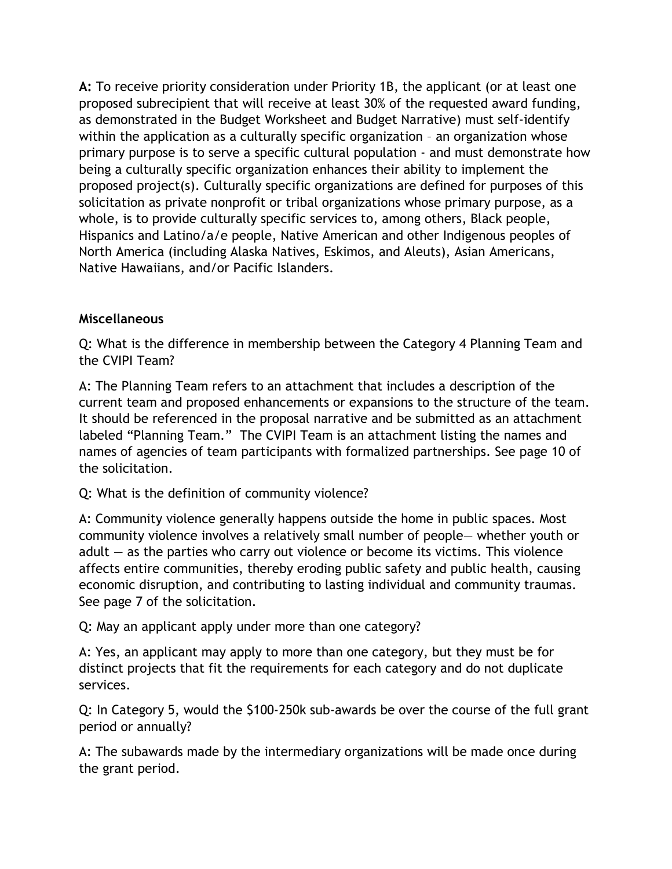as demonstrated in the Budget Worksheet and Budget Narrative) must self-identify within the application as a culturally specific organization – an organization whose Hispanics and Latino/a/e people, Native American and other Indigenous peoples of **A:** To receive priority consideration under Priority 1B, the applicant (or at least one proposed subrecipient that will receive at least 30% of the requested award funding, primary purpose is to serve a specific cultural population - and must demonstrate how being a culturally specific organization enhances their ability to implement the proposed project(s). Culturally specific organizations are defined for purposes of this solicitation as private nonprofit or tribal organizations whose primary purpose, as a whole, is to provide culturally specific services to, among others, Black people, North America (including Alaska Natives, Eskimos, and Aleuts), Asian Americans, Native Hawaiians, and/or Pacific Islanders.

#### **Miscellaneous**

 Q: What is the difference in membership between the Category 4 Planning Team and the CVIPI Team?

 A: The Planning Team refers to an attachment that includes a description of the labeled "Planning Team." The CVIPI Team is an attachment listing the names and current team and proposed enhancements or expansions to the structure of the team. It should be referenced in the proposal narrative and be submitted as an attachment names of agencies of team participants with formalized partnerships. See page 10 of the solicitation.

### Q: What is the definition of community violence?

 affects entire communities, thereby eroding public safety and public health, causing economic disruption, and contributing to lasting individual and community traumas.<br>See page 7 of the solicitation.<br>Q: May an applicant apply under more than one category? See page 7 of the solicitation. A: Community violence generally happens outside the home in public spaces. Most community violence involves a relatively small number of people— whether youth or adult  $-$  as the parties who carry out violence or become its victims. This violence

services. A: Yes, an applicant may apply to more than one category, but they must be for distinct projects that fit the requirements for each category and do not duplicate

Q: In Category 5, would the \$100-250k sub-awards be over the course of the full grant period or annually?

 the grant period. A: The subawards made by the intermediary organizations will be made once during